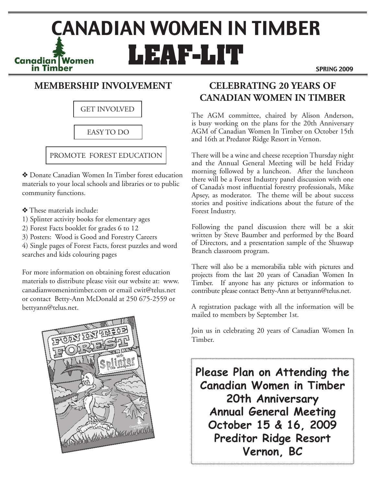# **CANADIAN WOMEN IN TIMBER**<br> **Canadian Women**<br> **LEAF-LIT**

SPRING 2009

## **MEMBERSHIP INVOLVEMENT**

GET INVOLVED

## EASY TO DO

## PROMOTE FOREST EDUCATION

v Donate Canadian Women In Timber forest education materials to your local schools and libraries or to public community functions.

- v These materials include:
- 1) Splinter activity books for elementary ages
- 2) Forest Facts booklet for grades 6 to 12
- 3) Posters: Wood is Good and Forestry Careers

4) Single pages of Forest Facts, forest puzzles and word searches and kids colouring pages

For more information on obtaining forest education materials to distribute please visit our website at: www. canadianwomenintimber.com or email cwit@telus.net or contact Betty-Ann McDonald at 250 675-2559 or bettyann@telus.net.



# **CELEBRATING 20 YEARS OF CANADIAN WOMEN IN TIMBER**

The AGM committee, chaired by Alison Anderson, is busy working on the plans for the 20th Anniversary AGM of Canadian Women In Timber on October 15th and 16th at Predator Ridge Resort in Vernon.

There will be a wine and cheese reception Thursday night and the Annual General Meeting will be held Friday morning followed by a luncheon. After the luncheon there will be a Forest Industry panel discussion with one of Canada's most influential forestry professionals, Mike Apsey, as moderator. The theme will be about success stories and positive indications about the future of the Forest Industry.

Following the panel discussion there will be a skit written by Steve Baumber and performed by the Board of Directors, and a presentation sample of the Shuswap Branch classroom program.

There will also be a memorabilia table with pictures and projects from the last 20 years of Canadian Women In Timber. If anyone has any pictures or information to contribute please contact Betty-Ann at bettyann@telus.net.

A registration package with all the information will be mailed to members by September 1st.

Join us in celebrating 20 years of Canadian Women In Timber.

**Please Plan on Attending the Canadian Women in Timber 20th Anniversary Annual General Meeting October 15 & 16, 2009 Preditor Ridge Resort Vernon, BC**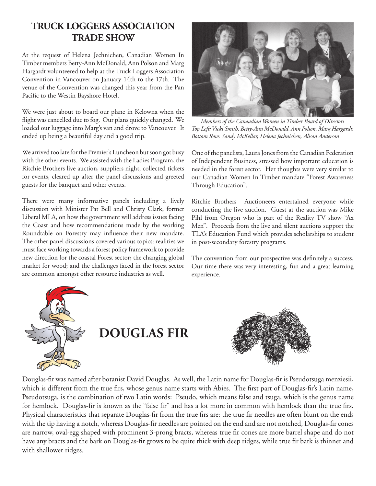## **TRUCK LOGGERS ASSOCIATION TRADE SHOW**

At the request of Helena Jechnichen, Canadian Women In Timber members Betty-Ann McDonald, Ann Polson and Marg Hargardt volunteered to help at the Truck Loggers Association Convention in Vancouver on January 14th to the 17th. The venue of the Convention was changed this year from the Pan Pacific to the Westin Bayshore Hotel.

We were just about to board our plane in Kelowna when the flight was cancelled due to fog. Our plans quickly changed. We loaded our luggage into Marg's van and drove to Vancouver. It ended up being a beautiful day and a good trip.

We arrived too late for the Premier's Luncheon but soon got busy with the other events. We assisted with the Ladies Program, the Ritchie Brothers live auction, suppliers night, collected tickets for events, cleared up after the panel discussions and greeted guests for the banquet and other events.

There were many informative panels including a lively discussion with Minister Pat Bell and Christy Clark, former Liberal MLA, on how the government will address issues facing the Coast and how recommendations made by the working Roundtable on Forestry may influence their new mandate. The other panel discussions covered various topics: realities we must face working towards a forest policy framework to provide new direction for the coastal Forest sector; the changing global market for wood; and the challenges faced in the forest sector are common amongst other resource industries as well.



*Members of the Canaadian Women in Timber Board of Directors Top Left: Vicki Smith, Betty-Ann McDonald, Ann Polson, Marg Hargardt, Bottom Row: Sandy McKellar, Helena Jechnichen, Alison Anderson*

One of the panelists, Laura Jones from the Canadian Federation of Independent Business, stressed how important education is needed in the forest sector. Her thoughts were very similar to our Canadian Women In Timber mandate "Forest Awareness Through Education".

Ritchie Brothers Auctioneers entertained everyone while conducting the live auction. Guest at the auction was Mike Pihl from Oregon who is part of the Reality TV show "Ax Men". Proceeds from the live and silent auctions support the TLA's Education Fund which provides scholarships to student in post-secondary forestry programs.

The convention from our prospective was definitely a success. Our time there was very interesting, fun and a great learning experience.



# **DOUGLAS FIR**



Douglas-fir was named after botanist David Douglas. As well, the Latin name for Douglas-fir is Pseudotsuga menziesii, which is different from the true firs, whose genus name starts with Abies. The first part of Douglas-fir's Latin name, Pseudotsuga, is the combination of two Latin words: Pseudo, which means false and tsuga, which is the genus name for hemlock. Douglas-fir is known as the "false fir" and has a lot more in common with hemlock than the true firs. Physical characteristics that separate Douglas-fir from the true firs are: the true fir needles are often blunt on the ends with the tip having a notch, whereas Douglas-fir needles are pointed on the end and are not notched, Douglas-fir cones are narrow, oval-egg shaped with prominent 3-prong bracts, whereas true fir cones are more barrel shape and do not have any bracts and the bark on Douglas-fir grows to be quite thick with deep ridges, while true fir bark is thinner and with shallower ridges.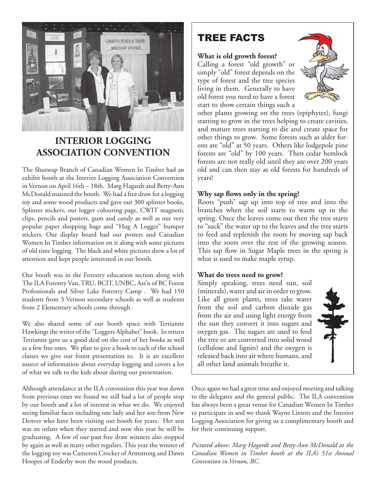

## **INTERIOR LOGGING ASSOCIATION CONVENTION**

The Shuswap Branch of Canadian Women In Timber had an exhibit booth at the Interior Logging Association Convention in Vernon on April 16th – 18th. Marg Hagardt and Betty-Ann McDonald manned the booth. We had a free draw for a logging toy and some wood products and gave out 300 splinter books, Splinter stickers, our logger colouring page, CWIT magnetic clips, pencils and posters, gum and candy as well as our very popular paper shopping bags and "Hug A Logger" bumper stickers. Our display board had our posters and Canadian Women In Timber information on it along with some pictures of old time logging. The black and white pictures drew a lot of attention and kept people interested in our booth.

Our booth was in the Forestry education section along with The ILA Forestry Van, TRU, BCIT, UNBC, Ass'n of BC Forest Professionals and Silver Lake Forestry Camp . We had 150 students from 3 Vernon secondary schools as well as students from 2 Elementary schools come through.

We also shared some of our booth space with Terrianne Hawkings the writer of the "Loggers Alphabet" book. In return Terrianne gave us a good deal on the cost of her books as well as a few free ones. We plan to give a book to each of the school classes we give our forest presentation to. It is an excellent source of information about everyday logging and covers a lot of what we talk to the kids about during our presentation.

Although attendance at the ILA convention this year was down from previous ones we found we still had a lot of people stop by our booth and a lot of interest in what we do. We enjoyed seeing familiar faces including one lady and her son from New Denver who have been visiting our booth for years. Her son was an infant when they started and now this year he will be graduating. A few of our past free draw winners also stopped by again as well as many other regulars. This year the winner of the logging toy was Cameron Crocker of Armstrong and Dawn Hooper of Enderby won the wood products.

# TREE FACTS

#### **What is old growth forest?**

Calling a forest "old growth" or simply "old" forest depends on the type of forest and the tree species living in them. Generally to have old forest you need to have a forest start to show certain things such a



other plants growing on the trees (epiphytes), fungi starting to grow in the trees helping to create cavities, and mature trees starting to die and create space for other things to grow. Some forests such as alder forests are "old" at 50 years. Others like lodgepole pine forests are "old" by 100 years. Then cedar hemlock forests are not really old until they are over 200 years old and can then stay as old forests for hundreds of years!

#### **Why sap flows only in the spring?**

Roots "push" sap up into top of tree and into the branches when the soil starts to warm up in the spring. Once the leaves come out then the tree starts to "suck" the water up to the leaves and the tree starts to feed and replenish the roots by moving sap back into the roots over the rest of the growing season. This sap flow in Sugar Maple trees in the spring is what is used to make maple syrup.

### **What do trees need to grow?**

Simply speaking, trees need sun, soil (minerals), water and air in order to grow. Like all green plants, trees take water from the soil and carbon dioxide gas from the air and using light energy from the sun they convert it into sugars and oxygen gas. The sugars are used to feed the tree or are converted into solid wood (cellulose and lignin) and the oxygen is released back into air where humans, and all other land animals breathe it.



Once again we had a great time and enjoyed meeting and talking to the delegates and the general public. The ILA convention has always been a great venue for Canadian Women In Timber to participate in and we thank Wayne Lintott and the Interior Logging Association for giving us a complimentary booth and for their continuing support.

*Pictured above: Marg Hagardt and Betty-Ann McDonald at the Canadian Women in Timber booth at the ILA's 51st Annual Convention in Vernon, BC.*